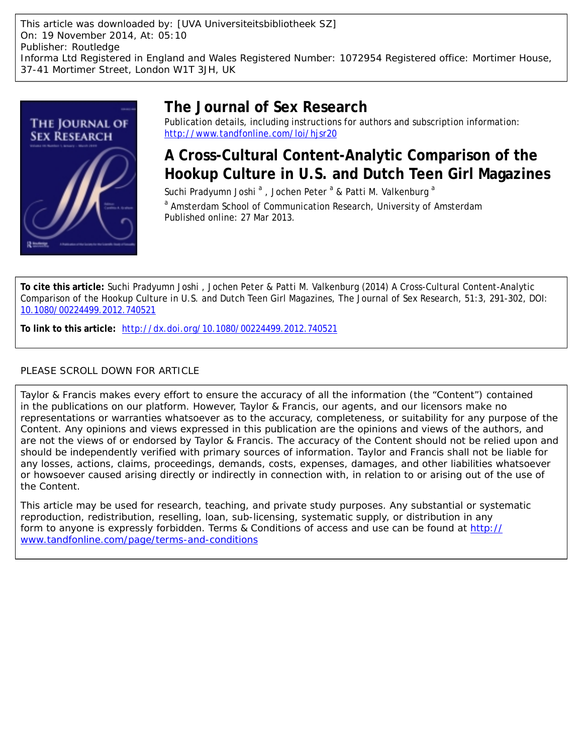This article was downloaded by: [UVA Universiteitsbibliotheek SZ] On: 19 November 2014, At: 05:10 Publisher: Routledge Informa Ltd Registered in England and Wales Registered Number: 1072954 Registered office: Mortimer House, 37-41 Mortimer Street, London W1T 3JH, UK



# **The Journal of Sex Research**

Publication details, including instructions for authors and subscription information: <http://www.tandfonline.com/loi/hjsr20>

**A Cross-Cultural Content-Analytic Comparison of the Hookup Culture in U.S. and Dutch Teen Girl Magazines**

Suchi Pradyumn Joshi<sup>a</sup>, Jochen Peter<sup>a</sup> & Patti M. Valkenburg<sup>a</sup> <sup>a</sup> Amsterdam School of Communication Research, University of Amsterdam Published online: 27 Mar 2013.

**To cite this article:** Suchi Pradyumn Joshi , Jochen Peter & Patti M. Valkenburg (2014) A Cross-Cultural Content-Analytic Comparison of the Hookup Culture in U.S. and Dutch Teen Girl Magazines, The Journal of Sex Research, 51:3, 291-302, DOI: [10.1080/00224499.2012.740521](http://www.tandfonline.com/action/showCitFormats?doi=10.1080/00224499.2012.740521)

**To link to this article:** <http://dx.doi.org/10.1080/00224499.2012.740521>

### PLEASE SCROLL DOWN FOR ARTICLE

Taylor & Francis makes every effort to ensure the accuracy of all the information (the "Content") contained in the publications on our platform. However, Taylor & Francis, our agents, and our licensors make no representations or warranties whatsoever as to the accuracy, completeness, or suitability for any purpose of the Content. Any opinions and views expressed in this publication are the opinions and views of the authors, and are not the views of or endorsed by Taylor & Francis. The accuracy of the Content should not be relied upon and should be independently verified with primary sources of information. Taylor and Francis shall not be liable for any losses, actions, claims, proceedings, demands, costs, expenses, damages, and other liabilities whatsoever or howsoever caused arising directly or indirectly in connection with, in relation to or arising out of the use of the Content.

This article may be used for research, teaching, and private study purposes. Any substantial or systematic reproduction, redistribution, reselling, loan, sub-licensing, systematic supply, or distribution in any form to anyone is expressly forbidden. Terms & Conditions of access and use can be found at [http://](http://www.tandfonline.com/page/terms-and-conditions) [www.tandfonline.com/page/terms-and-conditions](http://www.tandfonline.com/page/terms-and-conditions)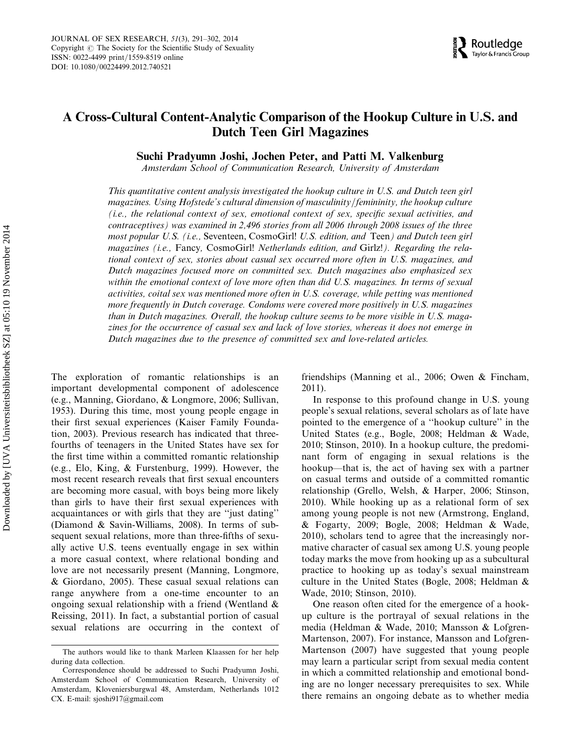

## A Cross-Cultural Content-Analytic Comparison of the Hookup Culture in U.S. and Dutch Teen Girl Magazines

Suchi Pradyumn Joshi, Jochen Peter, and Patti M. Valkenburg

Amsterdam School of Communication Research, University of Amsterdam

This quantitative content analysis investigated the hookup culture in U.S. and Dutch teen girl magazines. Using Hofstede's cultural dimension of masculinity  $/$  femininity, the hookup culture (i.e., the relational context of sex, emotional context of sex, specific sexual activities, and contraceptives) was examined in 2,496 stories from all 2006 through 2008 issues of the three most popular U.S. (i.e., Seventeen, CosmoGirl! U.S. edition, and Teen) and Dutch teen girl magazines (i.e., Fancy, CosmoGirl! Netherlands edition, and Girlz!). Regarding the relational context of sex, stories about casual sex occurred more often in U.S. magazines, and Dutch magazines focused more on committed sex. Dutch magazines also emphasized sex within the emotional context of love more often than did U.S. magazines. In terms of sexual activities, coital sex was mentioned more often in U.S. coverage, while petting was mentioned more frequently in Dutch coverage. Condoms were covered more positively in U.S. magazines than in Dutch magazines. Overall, the hookup culture seems to be more visible in U.S. magazines for the occurrence of casual sex and lack of love stories, whereas it does not emerge in Dutch magazines due to the presence of committed sex and love-related articles.

The exploration of romantic relationships is an important developmental component of adolescence (e.g., Manning, Giordano, & Longmore, 2006; Sullivan, 1953). During this time, most young people engage in their first sexual experiences (Kaiser Family Foundation, 2003). Previous research has indicated that threefourths of teenagers in the United States have sex for the first time within a committed romantic relationship (e.g., Elo, King, & Furstenburg, 1999). However, the most recent research reveals that first sexual encounters are becoming more casual, with boys being more likely than girls to have their first sexual experiences with acquaintances or with girls that they are ''just dating'' (Diamond & Savin-Williams, 2008). In terms of subsequent sexual relations, more than three-fifths of sexually active U.S. teens eventually engage in sex within a more casual context, where relational bonding and love are not necessarily present (Manning, Longmore, & Giordano, 2005). These casual sexual relations can range anywhere from a one-time encounter to an ongoing sexual relationship with a friend (Wentland & Reissing, 2011). In fact, a substantial portion of casual sexual relations are occurring in the context of friendships (Manning et al., 2006; Owen & Fincham, 2011).

In response to this profound change in U.S. young people's sexual relations, several scholars as of late have pointed to the emergence of a ''hookup culture'' in the United States (e.g., Bogle, 2008; Heldman & Wade, 2010; Stinson, 2010). In a hookup culture, the predominant form of engaging in sexual relations is the hookup—that is, the act of having sex with a partner on casual terms and outside of a committed romantic relationship (Grello, Welsh, & Harper, 2006; Stinson, 2010). While hooking up as a relational form of sex among young people is not new (Armstrong, England, & Fogarty, 2009; Bogle, 2008; Heldman & Wade, 2010), scholars tend to agree that the increasingly normative character of casual sex among U.S. young people today marks the move from hooking up as a subcultural practice to hooking up as today's sexual mainstream culture in the United States (Bogle, 2008; Heldman & Wade, 2010; Stinson, 2010).

One reason often cited for the emergence of a hookup culture is the portrayal of sexual relations in the media (Heldman & Wade, 2010; Mansson & Lofgren-Martenson, 2007). For instance, Mansson and Lofgren-Martenson (2007) have suggested that young people may learn a particular script from sexual media content in which a committed relationship and emotional bonding are no longer necessary prerequisites to sex. While there remains an ongoing debate as to whether media

The authors would like to thank Marleen Klaassen for her help during data collection.

Correspondence should be addressed to Suchi Pradyumn Joshi, Amsterdam School of Communication Research, University of Amsterdam, Kloveniersburgwal 48, Amsterdam, Netherlands 1012 CX. E-mail: sjoshi917@gmail.com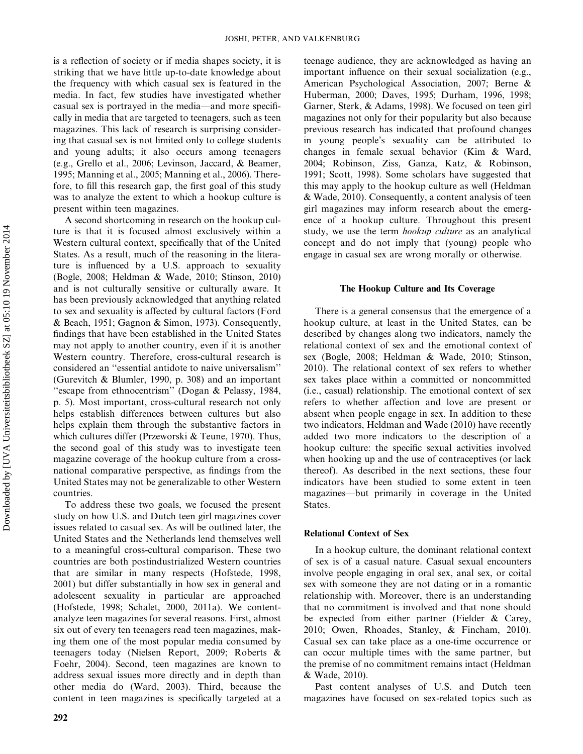is a reflection of society or if media shapes society, it is striking that we have little up-to-date knowledge about the frequency with which casual sex is featured in the media. In fact, few studies have investigated whether casual sex is portrayed in the media—and more specifically in media that are targeted to teenagers, such as teen magazines. This lack of research is surprising considering that casual sex is not limited only to college students and young adults; it also occurs among teenagers (e.g., Grello et al., 2006; Levinson, Jaccard, & Beamer, 1995; Manning et al., 2005; Manning et al., 2006). Therefore, to fill this research gap, the first goal of this study was to analyze the extent to which a hookup culture is present within teen magazines.

A second shortcoming in research on the hookup culture is that it is focused almost exclusively within a Western cultural context, specifically that of the United States. As a result, much of the reasoning in the literature is influenced by a U.S. approach to sexuality (Bogle, 2008; Heldman & Wade, 2010; Stinson, 2010) and is not culturally sensitive or culturally aware. It has been previously acknowledged that anything related to sex and sexuality is affected by cultural factors (Ford & Beach, 1951; Gagnon & Simon, 1973). Consequently, findings that have been established in the United States may not apply to another country, even if it is another Western country. Therefore, cross-cultural research is considered an ''essential antidote to naive universalism'' (Gurevitch & Blumler, 1990, p. 308) and an important ''escape from ethnocentrism'' (Dogan & Pelassy, 1984, p. 5). Most important, cross-cultural research not only helps establish differences between cultures but also helps explain them through the substantive factors in which cultures differ (Przeworski & Teune, 1970). Thus, the second goal of this study was to investigate teen magazine coverage of the hookup culture from a crossnational comparative perspective, as findings from the United States may not be generalizable to other Western countries.

To address these two goals, we focused the present study on how U.S. and Dutch teen girl magazines cover issues related to casual sex. As will be outlined later, the United States and the Netherlands lend themselves well to a meaningful cross-cultural comparison. These two countries are both postindustrialized Western countries that are similar in many respects (Hofstede, 1998, 2001) but differ substantially in how sex in general and adolescent sexuality in particular are approached (Hofstede, 1998; Schalet, 2000, 2011a). We contentanalyze teen magazines for several reasons. First, almost six out of every ten teenagers read teen magazines, making them one of the most popular media consumed by teenagers today (Nielsen Report, 2009; Roberts & Foehr, 2004). Second, teen magazines are known to address sexual issues more directly and in depth than other media do (Ward, 2003). Third, because the content in teen magazines is specifically targeted at a

teenage audience, they are acknowledged as having an important influence on their sexual socialization (e.g., American Psychological Association, 2007; Berne & Huberman, 2000; Daves, 1995; Durham, 1996, 1998; Garner, Sterk, & Adams, 1998). We focused on teen girl magazines not only for their popularity but also because previous research has indicated that profound changes in young people's sexuality can be attributed to changes in female sexual behavior (Kim & Ward, 2004; Robinson, Ziss, Ganza, Katz, & Robinson, 1991; Scott, 1998). Some scholars have suggested that this may apply to the hookup culture as well (Heldman & Wade, 2010). Consequently, a content analysis of teen girl magazines may inform research about the emergence of a hookup culture. Throughout this present study, we use the term hookup culture as an analytical concept and do not imply that (young) people who engage in casual sex are wrong morally or otherwise.

#### The Hookup Culture and Its Coverage

There is a general consensus that the emergence of a hookup culture, at least in the United States, can be described by changes along two indicators, namely the relational context of sex and the emotional context of sex (Bogle, 2008; Heldman & Wade, 2010; Stinson, 2010). The relational context of sex refers to whether sex takes place within a committed or noncommitted (i.e., casual) relationship. The emotional context of sex refers to whether affection and love are present or absent when people engage in sex. In addition to these two indicators, Heldman and Wade (2010) have recently added two more indicators to the description of a hookup culture: the specific sexual activities involved when hooking up and the use of contraceptives (or lack thereof). As described in the next sections, these four indicators have been studied to some extent in teen magazines—but primarily in coverage in the United States.

#### Relational Context of Sex

In a hookup culture, the dominant relational context of sex is of a casual nature. Casual sexual encounters involve people engaging in oral sex, anal sex, or coital sex with someone they are not dating or in a romantic relationship with. Moreover, there is an understanding that no commitment is involved and that none should be expected from either partner (Fielder & Carey, 2010; Owen, Rhoades, Stanley, & Fincham, 2010). Casual sex can take place as a one-time occurrence or can occur multiple times with the same partner, but the premise of no commitment remains intact (Heldman & Wade, 2010).

Past content analyses of U.S. and Dutch teen magazines have focused on sex-related topics such as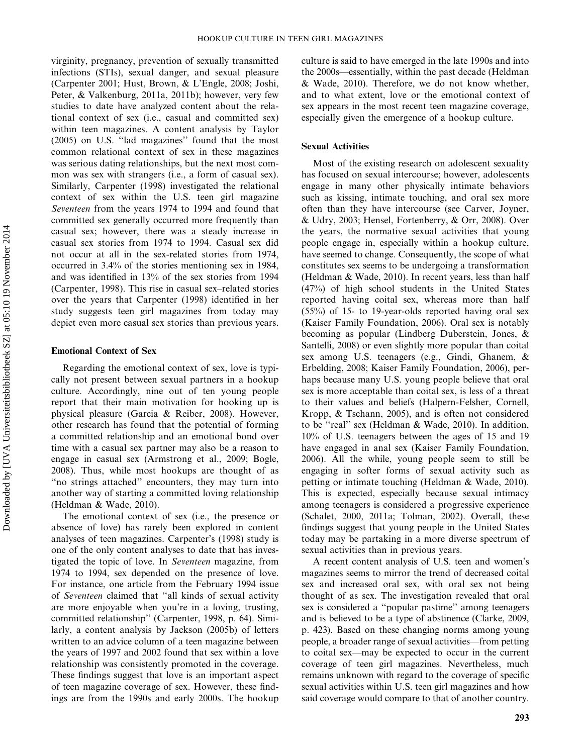virginity, pregnancy, prevention of sexually transmitted infections (STIs), sexual danger, and sexual pleasure (Carpenter 2001; Hust, Brown, & L'Engle, 2008; Joshi, Peter, & Valkenburg, 2011a, 2011b); however, very few studies to date have analyzed content about the relational context of sex (i.e., casual and committed sex) within teen magazines. A content analysis by Taylor (2005) on U.S. ''lad magazines'' found that the most common relational context of sex in these magazines was serious dating relationships, but the next most common was sex with strangers (i.e., a form of casual sex). Similarly, Carpenter (1998) investigated the relational context of sex within the U.S. teen girl magazine Seventeen from the years 1974 to 1994 and found that committed sex generally occurred more frequently than casual sex; however, there was a steady increase in casual sex stories from 1974 to 1994. Casual sex did not occur at all in the sex-related stories from 1974, occurred in 3.4% of the stories mentioning sex in 1984, and was identified in 13% of the sex stories from 1994 (Carpenter, 1998). This rise in casual sex–related stories over the years that Carpenter (1998) identified in her study suggests teen girl magazines from today may depict even more casual sex stories than previous years.

#### Emotional Context of Sex

Regarding the emotional context of sex, love is typically not present between sexual partners in a hookup culture. Accordingly, nine out of ten young people report that their main motivation for hooking up is physical pleasure (Garcia & Reiber, 2008). However, other research has found that the potential of forming a committed relationship and an emotional bond over time with a casual sex partner may also be a reason to engage in casual sex (Armstrong et al., 2009; Bogle, 2008). Thus, while most hookups are thought of as "no strings attached" encounters, they may turn into another way of starting a committed loving relationship (Heldman & Wade, 2010).

The emotional context of sex (i.e., the presence or absence of love) has rarely been explored in content analyses of teen magazines. Carpenter's (1998) study is one of the only content analyses to date that has investigated the topic of love. In Seventeen magazine, from 1974 to 1994, sex depended on the presence of love. For instance, one article from the February 1994 issue of Seventeen claimed that ''all kinds of sexual activity are more enjoyable when you're in a loving, trusting, committed relationship'' (Carpenter, 1998, p. 64). Similarly, a content analysis by Jackson (2005b) of letters written to an advice column of a teen magazine between the years of 1997 and 2002 found that sex within a love relationship was consistently promoted in the coverage. These findings suggest that love is an important aspect of teen magazine coverage of sex. However, these findings are from the 1990s and early 2000s. The hookup culture is said to have emerged in the late 1990s and into the 2000s—essentially, within the past decade (Heldman & Wade, 2010). Therefore, we do not know whether, and to what extent, love or the emotional context of sex appears in the most recent teen magazine coverage, especially given the emergence of a hookup culture.

#### Sexual Activities

Most of the existing research on adolescent sexuality has focused on sexual intercourse; however, adolescents engage in many other physically intimate behaviors such as kissing, intimate touching, and oral sex more often than they have intercourse (see Carver, Joyner, & Udry, 2003; Hensel, Fortenberry, & Orr, 2008). Over the years, the normative sexual activities that young people engage in, especially within a hookup culture, have seemed to change. Consequently, the scope of what constitutes sex seems to be undergoing a transformation (Heldman & Wade, 2010). In recent years, less than half (47%) of high school students in the United States reported having coital sex, whereas more than half (55%) of 15- to 19-year-olds reported having oral sex (Kaiser Family Foundation, 2006). Oral sex is notably becoming as popular (Lindberg Duberstein, Jones, & Santelli, 2008) or even slightly more popular than coital sex among U.S. teenagers (e.g., Gindi, Ghanem, & Erbelding, 2008; Kaiser Family Foundation, 2006), perhaps because many U.S. young people believe that oral sex is more acceptable than coital sex, is less of a threat to their values and beliefs (Halpern-Felsher, Cornell, Kropp, & Tschann, 2005), and is often not considered to be ''real'' sex (Heldman & Wade, 2010). In addition, 10% of U.S. teenagers between the ages of 15 and 19 have engaged in anal sex (Kaiser Family Foundation, 2006). All the while, young people seem to still be engaging in softer forms of sexual activity such as petting or intimate touching (Heldman & Wade, 2010). This is expected, especially because sexual intimacy among teenagers is considered a progressive experience (Schalet, 2000, 2011a; Tolman, 2002). Overall, these findings suggest that young people in the United States today may be partaking in a more diverse spectrum of sexual activities than in previous years.

A recent content analysis of U.S. teen and women's magazines seems to mirror the trend of decreased coital sex and increased oral sex, with oral sex not being thought of as sex. The investigation revealed that oral sex is considered a ''popular pastime'' among teenagers and is believed to be a type of abstinence (Clarke, 2009, p. 423). Based on these changing norms among young people, a broader range of sexual activities—from petting to coital sex—may be expected to occur in the current coverage of teen girl magazines. Nevertheless, much remains unknown with regard to the coverage of specific sexual activities within U.S. teen girl magazines and how said coverage would compare to that of another country.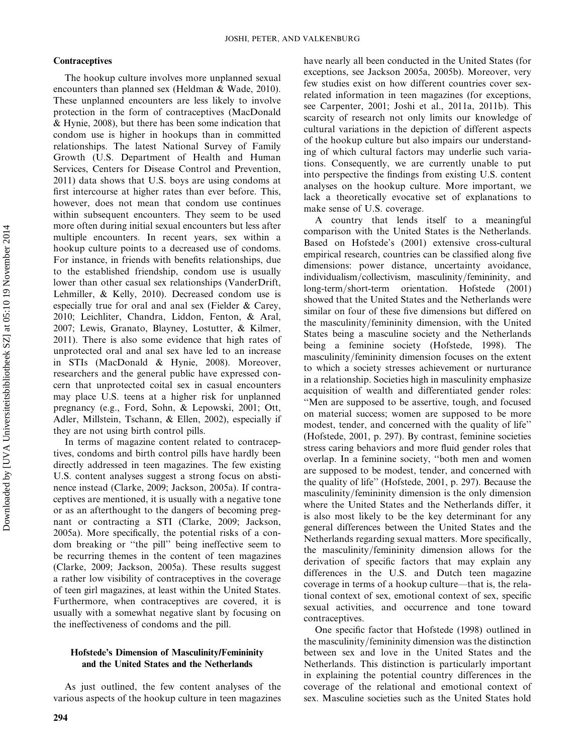#### **Contraceptives**

The hookup culture involves more unplanned sexual encounters than planned sex (Heldman & Wade, 2010). These unplanned encounters are less likely to involve protection in the form of contraceptives (MacDonald & Hynie, 2008), but there has been some indication that condom use is higher in hookups than in committed relationships. The latest National Survey of Family Growth (U.S. Department of Health and Human Services, Centers for Disease Control and Prevention, 2011) data shows that U.S. boys are using condoms at first intercourse at higher rates than ever before. This, however, does not mean that condom use continues within subsequent encounters. They seem to be used more often during initial sexual encounters but less after multiple encounters. In recent years, sex within a hookup culture points to a decreased use of condoms. For instance, in friends with benefits relationships, due to the established friendship, condom use is usually lower than other casual sex relationships (VanderDrift, Lehmiller, & Kelly, 2010). Decreased condom use is especially true for oral and anal sex (Fielder & Carey, 2010; Leichliter, Chandra, Liddon, Fenton, & Aral, 2007; Lewis, Granato, Blayney, Lostutter, & Kilmer, 2011). There is also some evidence that high rates of unprotected oral and anal sex have led to an increase in STIs (MacDonald & Hynie, 2008). Moreover, researchers and the general public have expressed concern that unprotected coital sex in casual encounters may place U.S. teens at a higher risk for unplanned pregnancy (e.g., Ford, Sohn, & Lepowski, 2001; Ott, Adler, Millstein, Tschann, & Ellen, 2002), especially if they are not using birth control pills.

In terms of magazine content related to contraceptives, condoms and birth control pills have hardly been directly addressed in teen magazines. The few existing U.S. content analyses suggest a strong focus on abstinence instead (Clarke, 2009; Jackson, 2005a). If contraceptives are mentioned, it is usually with a negative tone or as an afterthought to the dangers of becoming pregnant or contracting a STI (Clarke, 2009; Jackson, 2005a). More specifically, the potential risks of a condom breaking or ''the pill'' being ineffective seem to be recurring themes in the content of teen magazines (Clarke, 2009; Jackson, 2005a). These results suggest a rather low visibility of contraceptives in the coverage of teen girl magazines, at least within the United States. Furthermore, when contraceptives are covered, it is usually with a somewhat negative slant by focusing on the ineffectiveness of condoms and the pill.

#### Hofstede's Dimension of Masculinity/Femininity and the United States and the Netherlands

As just outlined, the few content analyses of the various aspects of the hookup culture in teen magazines

294

have nearly all been conducted in the United States (for exceptions, see Jackson 2005a, 2005b). Moreover, very few studies exist on how different countries cover sexrelated information in teen magazines (for exceptions, see Carpenter, 2001; Joshi et al., 2011a, 2011b). This scarcity of research not only limits our knowledge of cultural variations in the depiction of different aspects of the hookup culture but also impairs our understanding of which cultural factors may underlie such variations. Consequently, we are currently unable to put into perspective the findings from existing U.S. content analyses on the hookup culture. More important, we lack a theoretically evocative set of explanations to make sense of U.S. coverage.

A country that lends itself to a meaningful comparison with the United States is the Netherlands. Based on Hofstede's (2001) extensive cross-cultural empirical research, countries can be classified along five dimensions: power distance, uncertainty avoidance, individualism/collectivism, masculinity/femininity, and long-term/short-term orientation. Hofstede (2001) showed that the United States and the Netherlands were similar on four of these five dimensions but differed on the masculinity/femininity dimension, with the United States being a masculine society and the Netherlands being a feminine society (Hofstede, 1998). The masculinity/femininity dimension focuses on the extent to which a society stresses achievement or nurturance in a relationship. Societies high in masculinity emphasize acquisition of wealth and differentiated gender roles: ''Men are supposed to be assertive, tough, and focused on material success; women are supposed to be more modest, tender, and concerned with the quality of life'' (Hofstede, 2001, p. 297). By contrast, feminine societies stress caring behaviors and more fluid gender roles that overlap. In a feminine society, ''both men and women are supposed to be modest, tender, and concerned with the quality of life'' (Hofstede, 2001, p. 297). Because the masculinity/femininity dimension is the only dimension where the United States and the Netherlands differ, it is also most likely to be the key determinant for any general differences between the United States and the Netherlands regarding sexual matters. More specifically, the masculinity/femininity dimension allows for the derivation of specific factors that may explain any differences in the U.S. and Dutch teen magazine coverage in terms of a hookup culture—that is, the relational context of sex, emotional context of sex, specific sexual activities, and occurrence and tone toward contraceptives.

One specific factor that Hofstede (1998) outlined in the masculinity/femininity dimension was the distinction between sex and love in the United States and the Netherlands. This distinction is particularly important in explaining the potential country differences in the coverage of the relational and emotional context of sex. Masculine societies such as the United States hold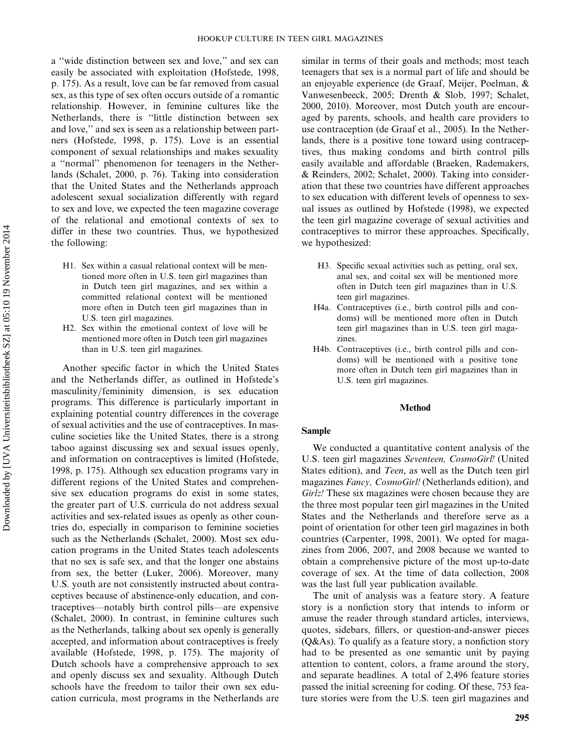a ''wide distinction between sex and love,'' and sex can easily be associated with exploitation (Hofstede, 1998, p. 175). As a result, love can be far removed from casual sex, as this type of sex often occurs outside of a romantic relationship. However, in feminine cultures like the Netherlands, there is ''little distinction between sex and love,'' and sex is seen as a relationship between partners (Hofstede, 1998, p. 175). Love is an essential component of sexual relationships and makes sexuality a ''normal'' phenomenon for teenagers in the Netherlands (Schalet, 2000, p. 76). Taking into consideration that the United States and the Netherlands approach adolescent sexual socialization differently with regard to sex and love, we expected the teen magazine coverage of the relational and emotional contexts of sex to differ in these two countries. Thus, we hypothesized the following:

- H1. Sex within a casual relational context will be mentioned more often in U.S. teen girl magazines than in Dutch teen girl magazines, and sex within a committed relational context will be mentioned more often in Dutch teen girl magazines than in U.S. teen girl magazines.
- H2. Sex within the emotional context of love will be mentioned more often in Dutch teen girl magazines than in U.S. teen girl magazines.

Another specific factor in which the United States and the Netherlands differ, as outlined in Hofstede's masculinity/femininity dimension, is sex education programs. This difference is particularly important in explaining potential country differences in the coverage of sexual activities and the use of contraceptives. In masculine societies like the United States, there is a strong taboo against discussing sex and sexual issues openly, and information on contraceptives is limited (Hofstede, 1998, p. 175). Although sex education programs vary in different regions of the United States and comprehensive sex education programs do exist in some states, the greater part of U.S. curricula do not address sexual activities and sex-related issues as openly as other countries do, especially in comparison to feminine societies such as the Netherlands (Schalet, 2000). Most sex education programs in the United States teach adolescents that no sex is safe sex, and that the longer one abstains from sex, the better (Luker, 2006). Moreover, many U.S. youth are not consistently instructed about contraceptives because of abstinence-only education, and contraceptives—notably birth control pills—are expensive (Schalet, 2000). In contrast, in feminine cultures such as the Netherlands, talking about sex openly is generally accepted, and information about contraceptives is freely available (Hofstede, 1998, p. 175). The majority of Dutch schools have a comprehensive approach to sex and openly discuss sex and sexuality. Although Dutch schools have the freedom to tailor their own sex education curricula, most programs in the Netherlands are similar in terms of their goals and methods; most teach teenagers that sex is a normal part of life and should be an enjoyable experience (de Graaf, Meijer, Poelman, & Vanwesenbeeck, 2005; Drenth & Slob, 1997; Schalet, 2000, 2010). Moreover, most Dutch youth are encouraged by parents, schools, and health care providers to use contraception (de Graaf et al., 2005). In the Netherlands, there is a positive tone toward using contraceptives, thus making condoms and birth control pills easily available and affordable (Braeken, Rademakers, & Reinders, 2002; Schalet, 2000). Taking into consideration that these two countries have different approaches to sex education with different levels of openness to sexual issues as outlined by Hofstede (1998), we expected the teen girl magazine coverage of sexual activities and contraceptives to mirror these approaches. Specifically, we hypothesized:

- H3. Specific sexual activities such as petting, oral sex, anal sex, and coital sex will be mentioned more often in Dutch teen girl magazines than in U.S. teen girl magazines.
- H4a. Contraceptives (i.e., birth control pills and condoms) will be mentioned more often in Dutch teen girl magazines than in U.S. teen girl magazines.
- H4b. Contraceptives (i.e., birth control pills and condoms) will be mentioned with a positive tone more often in Dutch teen girl magazines than in U.S. teen girl magazines.

#### Method

#### Sample

We conducted a quantitative content analysis of the U.S. teen girl magazines Seventeen, CosmoGirl! (United States edition), and Teen, as well as the Dutch teen girl magazines *Fancy, CosmoGirl!* (Netherlands edition), and Girlz! These six magazines were chosen because they are the three most popular teen girl magazines in the United States and the Netherlands and therefore serve as a point of orientation for other teen girl magazines in both countries (Carpenter, 1998, 2001). We opted for magazines from 2006, 2007, and 2008 because we wanted to obtain a comprehensive picture of the most up-to-date coverage of sex. At the time of data collection, 2008 was the last full year publication available.

The unit of analysis was a feature story. A feature story is a nonfiction story that intends to inform or amuse the reader through standard articles, interviews, quotes, sidebars, fillers, or question-and-answer pieces (Q&As). To qualify as a feature story, a nonfiction story had to be presented as one semantic unit by paying attention to content, colors, a frame around the story, and separate headlines. A total of 2,496 feature stories passed the initial screening for coding. Of these, 753 feature stories were from the U.S. teen girl magazines and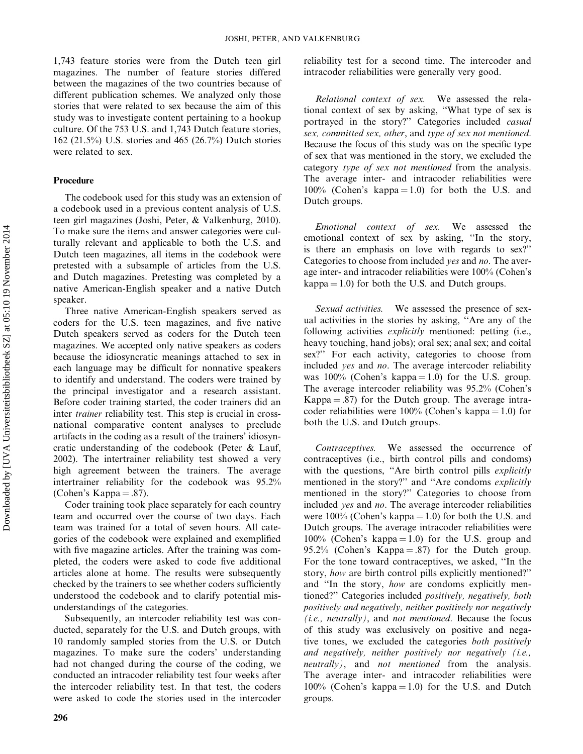1,743 feature stories were from the Dutch teen girl magazines. The number of feature stories differed between the magazines of the two countries because of different publication schemes. We analyzed only those stories that were related to sex because the aim of this study was to investigate content pertaining to a hookup culture. Of the 753 U.S. and 1,743 Dutch feature stories, 162 (21.5%) U.S. stories and 465 (26.7%) Dutch stories were related to sex.

#### Procedure

The codebook used for this study was an extension of a codebook used in a previous content analysis of U.S. teen girl magazines (Joshi, Peter, & Valkenburg, 2010). To make sure the items and answer categories were culturally relevant and applicable to both the U.S. and Dutch teen magazines, all items in the codebook were pretested with a subsample of articles from the U.S. and Dutch magazines. Pretesting was completed by a native American-English speaker and a native Dutch speaker.

Three native American-English speakers served as coders for the U.S. teen magazines, and five native Dutch speakers served as coders for the Dutch teen magazines. We accepted only native speakers as coders because the idiosyncratic meanings attached to sex in each language may be difficult for nonnative speakers to identify and understand. The coders were trained by the principal investigator and a research assistant. Before coder training started, the coder trainers did an inter trainer reliability test. This step is crucial in crossnational comparative content analyses to preclude artifacts in the coding as a result of the trainers' idiosyncratic understanding of the codebook (Peter & Lauf, 2002). The intertrainer reliability test showed a very high agreement between the trainers. The average intertrainer reliability for the codebook was 95.2% (Cohen's Kappa  $= .87$ ).

Coder training took place separately for each country team and occurred over the course of two days. Each team was trained for a total of seven hours. All categories of the codebook were explained and exemplified with five magazine articles. After the training was completed, the coders were asked to code five additional articles alone at home. The results were subsequently checked by the trainers to see whether coders sufficiently understood the codebook and to clarify potential misunderstandings of the categories.

Subsequently, an intercoder reliability test was conducted, separately for the U.S. and Dutch groups, with 10 randomly sampled stories from the U.S. or Dutch magazines. To make sure the coders' understanding had not changed during the course of the coding, we conducted an intracoder reliability test four weeks after the intercoder reliability test. In that test, the coders were asked to code the stories used in the intercoder reliability test for a second time. The intercoder and intracoder reliabilities were generally very good.

Relational context of sex. We assessed the relational context of sex by asking, ''What type of sex is portrayed in the story?" Categories included *casual* sex, committed sex, other, and type of sex not mentioned. Because the focus of this study was on the specific type of sex that was mentioned in the story, we excluded the category type of sex not mentioned from the analysis. The average inter- and intracoder reliabilities were  $100\%$  (Cohen's kappa = 1.0) for both the U.S. and Dutch groups.

Emotional context of sex. We assessed the emotional context of sex by asking, ''In the story, is there an emphasis on love with regards to sex?'' Categories to choose from included yes and no. The average inter- and intracoder reliabilities were 100% (Cohen's  $kappa = 1.0$ ) for both the U.S. and Dutch groups.

Sexual activities. We assessed the presence of sexual activities in the stories by asking, ''Are any of the following activities *explicitly* mentioned: petting (i.e., heavy touching, hand jobs); oral sex; anal sex; and coital sex?'' For each activity, categories to choose from included yes and no. The average intercoder reliability was  $100\%$  (Cohen's kappa = 1.0) for the U.S. group. The average intercoder reliability was 95.2% (Cohen's Kappa  $= .87$ ) for the Dutch group. The average intracoder reliabilities were  $100\%$  (Cohen's kappa = 1.0) for both the U.S. and Dutch groups.

Contraceptives. We assessed the occurrence of contraceptives (i.e., birth control pills and condoms) with the questions, "Are birth control pills explicitly mentioned in the story?" and "Are condoms explicitly mentioned in the story?'' Categories to choose from included yes and no. The average intercoder reliabilities were  $100\%$  (Cohen's kappa = 1.0) for both the U.S. and Dutch groups. The average intracoder reliabilities were  $100\%$  (Cohen's kappa = 1.0) for the U.S. group and 95.2% (Cohen's Kappa = .87) for the Dutch group. For the tone toward contraceptives, we asked, ''In the story, how are birth control pills explicitly mentioned?'' and ''In the story, how are condoms explicitly mentioned?'' Categories included positively, negatively, both positively and negatively, neither positively nor negatively  $(i.e., neutrally)$ , and not mentioned. Because the focus of this study was exclusively on positive and negative tones, we excluded the categories both positively and negatively, neither positively nor negatively (i.e., neutrally), and not mentioned from the analysis. The average inter- and intracoder reliabilities were  $100\%$  (Cohen's kappa = 1.0) for the U.S. and Dutch groups.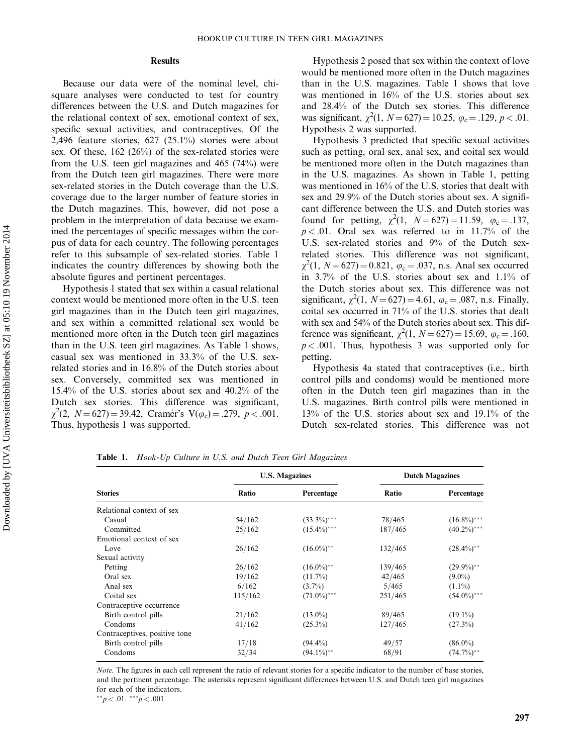#### Results

Because our data were of the nominal level, chisquare analyses were conducted to test for country differences between the U.S. and Dutch magazines for the relational context of sex, emotional context of sex, specific sexual activities, and contraceptives. Of the 2,496 feature stories, 627 (25.1%) stories were about sex. Of these, 162 (26%) of the sex-related stories were from the U.S. teen girl magazines and 465 (74%) were from the Dutch teen girl magazines. There were more sex-related stories in the Dutch coverage than the U.S. coverage due to the larger number of feature stories in the Dutch magazines. This, however, did not pose a problem in the interpretation of data because we examined the percentages of specific messages within the corpus of data for each country. The following percentages refer to this subsample of sex-related stories. Table 1 indicates the country differences by showing both the absolute figures and pertinent percentages.

Hypothesis 1 stated that sex within a casual relational context would be mentioned more often in the U.S. teen girl magazines than in the Dutch teen girl magazines, and sex within a committed relational sex would be mentioned more often in the Dutch teen girl magazines than in the U.S. teen girl magazines. As Table 1 shows, casual sex was mentioned in 33.3% of the U.S. sexrelated stories and in 16.8% of the Dutch stories about sex. Conversely, committed sex was mentioned in 15.4% of the U.S. stories about sex and 40.2% of the Dutch sex stories. This difference was significant,  $\chi^2(2, N = 627) = 39.42$ , Cramér's V( $\varphi_c$ ) = .279,  $p < .001$ . Thus, hypothesis 1 was supported.

Hypothesis 2 posed that sex within the context of love would be mentioned more often in the Dutch magazines than in the U.S. magazines. Table 1 shows that love was mentioned in 16% of the U.S. stories about sex and 28.4% of the Dutch sex stories. This difference was significant,  $\chi^2(1, N = 627) = 10.25, \varphi_c = .129, p < .01$ . Hypothesis 2 was supported.

Hypothesis 3 predicted that specific sexual activities such as petting, oral sex, anal sex, and coital sex would be mentioned more often in the Dutch magazines than in the U.S. magazines. As shown in Table 1, petting was mentioned in 16% of the U.S. stories that dealt with sex and 29.9% of the Dutch stories about sex. A significant difference between the U.S. and Dutch stories was found for petting,  $\chi^2(1, N=627)=11.59, \varphi_c=.137,$  $p < .01$ . Oral sex was referred to in 11.7% of the U.S. sex-related stories and 9% of the Dutch sexrelated stories. This difference was not significant,  $\chi^2(1, N = 627) = 0.821, \varphi_c = .037, \text{ n.s.}$  Anal sex occurred in 3.7% of the U.S. stories about sex and 1.1% of the Dutch stories about sex. This difference was not significant,  $\chi^2(1, N = 627) = 4.61$ ,  $\varphi_c = .087$ , n.s. Finally, coital sex occurred in 71% of the U.S. stories that dealt with sex and 54% of the Dutch stories about sex. This difference was significant,  $\chi^2(1, N = 627) = 15.69$ ,  $\varphi_c = .160$ ,  $p < .001$ . Thus, hypothesis 3 was supported only for petting.

Hypothesis 4a stated that contraceptives (i.e., birth control pills and condoms) would be mentioned more often in the Dutch teen girl magazines than in the U.S. magazines. Birth control pills were mentioned in 13% of the U.S. stories about sex and 19.1% of the Dutch sex-related stories. This difference was not

| Stories                       | <b>U.S. Magazines</b> |                 | <b>Dutch Magazines</b> |                 |
|-------------------------------|-----------------------|-----------------|------------------------|-----------------|
|                               | Ratio                 | Percentage      | Ratio                  | Percentage      |
| Relational context of sex     |                       |                 |                        |                 |
| Casual                        | 54/162                | $(33.3\%)$ ***  | 78/465                 | $(16.8\%)$ ***  |
| Committed                     | 25/162                | $(15.4\%)$ ***  | 187/465                | $(40.2\%)$ ***  |
| Emotional context of sex      |                       |                 |                        |                 |
| Love                          | 26/162                | $(16.0\%)^{**}$ | 132/465                | $(28.4\%)$ **   |
| Sexual activity               |                       |                 |                        |                 |
| Petting                       | 26/162                | $(16.0\%)^{**}$ | 139/465                | $(29.9\%)^{**}$ |
| Oral sex                      | 19/162                | $(11.7\%)$      | 42/465                 | $(9.0\%)$       |
| Anal sex                      | 6/162                 | $(3.7\%)$       | 5/465                  | $(1.1\%)$       |
| Coital sex                    | 115/162               | $(71.0\%)$ ***  | 251/465                | $(54.0\%)***$   |
| Contraceptive occurrence      |                       |                 |                        |                 |
| Birth control pills           | 21/162                | $(13.0\%)$      | 89/465                 | $(19.1\%)$      |
| Condoms                       | 41/162                | $(25.3\%)$      | 127/465                | $(27.3\%)$      |
| Contraceptives, positive tone |                       |                 |                        |                 |
| Birth control pills           | 17/18                 | $(94.4\%)$      | 49/57                  | $(86.0\%)$      |
| Condoms                       | 32/34                 | $(94.1\%)$ **   | 68/91                  | $(74.7\%)$ **   |

Table 1. Hook-Up Culture in U.S. and Dutch Teen Girl Magazines

Note. The figures in each cell represent the ratio of relevant stories for a specific indicator to the number of base stories, and the pertinent percentage. The asterisks represent significant differences between U.S. and Dutch teen girl magazines for each of the indicators.

\*\* $p < .01.$ \*\*\* $p < .001.$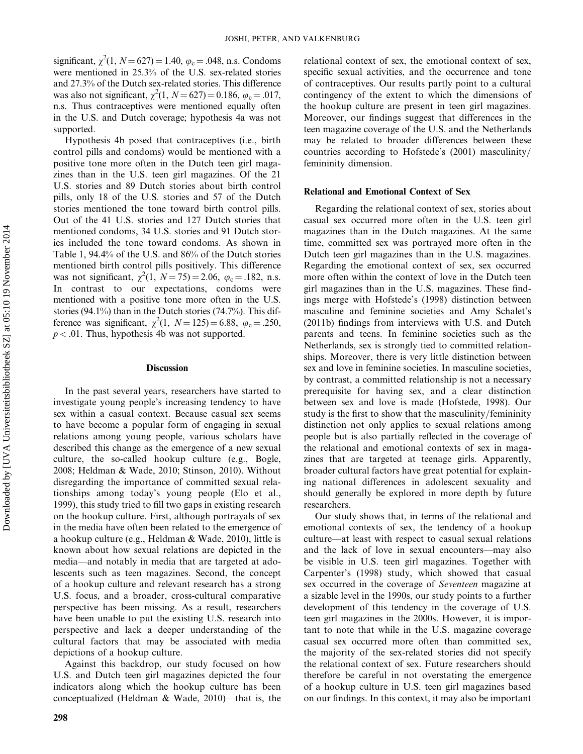significant,  $\chi^2(1, N = 627) = 1.40$ ,  $\varphi_c = .048$ , n.s. Condoms were mentioned in 25.3% of the U.S. sex-related stories and 27.3% of the Dutch sex-related stories. This difference was also not significant,  $\chi^2(1, N = 627) = 0.186$ ,  $\varphi_c = .017$ , n.s. Thus contraceptives were mentioned equally often in the U.S. and Dutch coverage; hypothesis 4a was not supported.

Hypothesis 4b posed that contraceptives (i.e., birth control pills and condoms) would be mentioned with a positive tone more often in the Dutch teen girl magazines than in the U.S. teen girl magazines. Of the 21 U.S. stories and 89 Dutch stories about birth control pills, only 18 of the U.S. stories and 57 of the Dutch stories mentioned the tone toward birth control pills. Out of the 41 U.S. stories and 127 Dutch stories that mentioned condoms, 34 U.S. stories and 91 Dutch stories included the tone toward condoms. As shown in Table 1, 94.4% of the U.S. and 86% of the Dutch stories mentioned birth control pills positively. This difference was not significant,  $\chi^2(1, N = 75) = 2.06, \varphi_c = .182, n.s.$ In contrast to our expectations, condoms were mentioned with a positive tone more often in the U.S. stories (94.1%) than in the Dutch stories (74.7%). This difference was significant,  $\chi^2(1, N = 125) = 6.88, \varphi_c = .250,$  $p < .01$ . Thus, hypothesis 4b was not supported.

#### **Discussion**

In the past several years, researchers have started to investigate young people's increasing tendency to have sex within a casual context. Because casual sex seems to have become a popular form of engaging in sexual relations among young people, various scholars have described this change as the emergence of a new sexual culture, the so-called hookup culture (e.g., Bogle, 2008; Heldman & Wade, 2010; Stinson, 2010). Without disregarding the importance of committed sexual relationships among today's young people (Elo et al., 1999), this study tried to fill two gaps in existing research on the hookup culture. First, although portrayals of sex in the media have often been related to the emergence of a hookup culture (e.g., Heldman & Wade, 2010), little is known about how sexual relations are depicted in the media—and notably in media that are targeted at adolescents such as teen magazines. Second, the concept of a hookup culture and relevant research has a strong U.S. focus, and a broader, cross-cultural comparative perspective has been missing. As a result, researchers have been unable to put the existing U.S. research into perspective and lack a deeper understanding of the cultural factors that may be associated with media depictions of a hookup culture.

Against this backdrop, our study focused on how U.S. and Dutch teen girl magazines depicted the four indicators along which the hookup culture has been conceptualized (Heldman & Wade, 2010)—that is, the relational context of sex, the emotional context of sex, specific sexual activities, and the occurrence and tone of contraceptives. Our results partly point to a cultural contingency of the extent to which the dimensions of the hookup culture are present in teen girl magazines. Moreover, our findings suggest that differences in the teen magazine coverage of the U.S. and the Netherlands may be related to broader differences between these countries according to Hofstede's (2001) masculinity/ femininity dimension.

#### Relational and Emotional Context of Sex

Regarding the relational context of sex, stories about casual sex occurred more often in the U.S. teen girl magazines than in the Dutch magazines. At the same time, committed sex was portrayed more often in the Dutch teen girl magazines than in the U.S. magazines. Regarding the emotional context of sex, sex occurred more often within the context of love in the Dutch teen girl magazines than in the U.S. magazines. These findings merge with Hofstede's (1998) distinction between masculine and feminine societies and Amy Schalet's (2011b) findings from interviews with U.S. and Dutch parents and teens. In feminine societies such as the Netherlands, sex is strongly tied to committed relationships. Moreover, there is very little distinction between sex and love in feminine societies. In masculine societies, by contrast, a committed relationship is not a necessary prerequisite for having sex, and a clear distinction between sex and love is made (Hofstede, 1998). Our study is the first to show that the masculinity/femininity distinction not only applies to sexual relations among people but is also partially reflected in the coverage of the relational and emotional contexts of sex in magazines that are targeted at teenage girls. Apparently, broader cultural factors have great potential for explaining national differences in adolescent sexuality and should generally be explored in more depth by future researchers.

Our study shows that, in terms of the relational and emotional contexts of sex, the tendency of a hookup culture—at least with respect to casual sexual relations and the lack of love in sexual encounters—may also be visible in U.S. teen girl magazines. Together with Carpenter's (1998) study, which showed that casual sex occurred in the coverage of Seventeen magazine at a sizable level in the 1990s, our study points to a further development of this tendency in the coverage of U.S. teen girl magazines in the 2000s. However, it is important to note that while in the U.S. magazine coverage casual sex occurred more often than committed sex, the majority of the sex-related stories did not specify the relational context of sex. Future researchers should therefore be careful in not overstating the emergence of a hookup culture in U.S. teen girl magazines based on our findings. In this context, it may also be important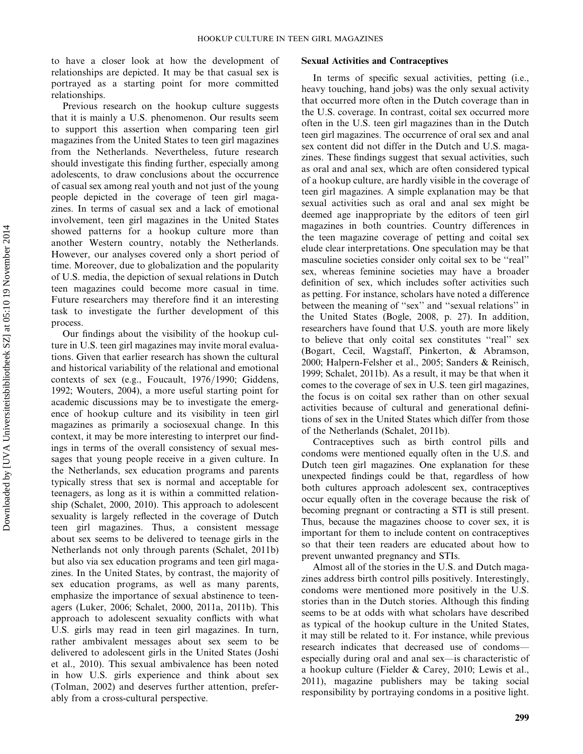to have a closer look at how the development of relationships are depicted. It may be that casual sex is portrayed as a starting point for more committed relationships.

Previous research on the hookup culture suggests that it is mainly a U.S. phenomenon. Our results seem to support this assertion when comparing teen girl magazines from the United States to teen girl magazines from the Netherlands. Nevertheless, future research should investigate this finding further, especially among adolescents, to draw conclusions about the occurrence of casual sex among real youth and not just of the young people depicted in the coverage of teen girl magazines. In terms of casual sex and a lack of emotional involvement, teen girl magazines in the United States showed patterns for a hookup culture more than another Western country, notably the Netherlands. However, our analyses covered only a short period of time. Moreover, due to globalization and the popularity of U.S. media, the depiction of sexual relations in Dutch teen magazines could become more casual in time. Future researchers may therefore find it an interesting task to investigate the further development of this process.

Our findings about the visibility of the hookup culture in U.S. teen girl magazines may invite moral evaluations. Given that earlier research has shown the cultural and historical variability of the relational and emotional contexts of sex (e.g., Foucault, 1976/1990; Giddens, 1992; Wouters, 2004), a more useful starting point for academic discussions may be to investigate the emergence of hookup culture and its visibility in teen girl magazines as primarily a sociosexual change. In this context, it may be more interesting to interpret our findings in terms of the overall consistency of sexual messages that young people receive in a given culture. In the Netherlands, sex education programs and parents typically stress that sex is normal and acceptable for teenagers, as long as it is within a committed relationship (Schalet, 2000, 2010). This approach to adolescent sexuality is largely reflected in the coverage of Dutch teen girl magazines. Thus, a consistent message about sex seems to be delivered to teenage girls in the Netherlands not only through parents (Schalet, 2011b) but also via sex education programs and teen girl magazines. In the United States, by contrast, the majority of sex education programs, as well as many parents, emphasize the importance of sexual abstinence to teenagers (Luker, 2006; Schalet, 2000, 2011a, 2011b). This approach to adolescent sexuality conflicts with what U.S. girls may read in teen girl magazines. In turn, rather ambivalent messages about sex seem to be delivered to adolescent girls in the United States (Joshi et al., 2010). This sexual ambivalence has been noted in how U.S. girls experience and think about sex (Tolman, 2002) and deserves further attention, preferably from a cross-cultural perspective.

#### Sexual Activities and Contraceptives

In terms of specific sexual activities, petting (i.e., heavy touching, hand jobs) was the only sexual activity that occurred more often in the Dutch coverage than in the U.S. coverage. In contrast, coital sex occurred more often in the U.S. teen girl magazines than in the Dutch teen girl magazines. The occurrence of oral sex and anal sex content did not differ in the Dutch and U.S. magazines. These findings suggest that sexual activities, such as oral and anal sex, which are often considered typical of a hookup culture, are hardly visible in the coverage of teen girl magazines. A simple explanation may be that sexual activities such as oral and anal sex might be deemed age inappropriate by the editors of teen girl magazines in both countries. Country differences in the teen magazine coverage of petting and coital sex elude clear interpretations. One speculation may be that masculine societies consider only coital sex to be ''real'' sex, whereas feminine societies may have a broader definition of sex, which includes softer activities such as petting. For instance, scholars have noted a difference between the meaning of ''sex'' and ''sexual relations'' in the United States (Bogle, 2008, p. 27). In addition, researchers have found that U.S. youth are more likely to believe that only coital sex constitutes ''real'' sex (Bogart, Cecil, Wagstaff, Pinkerton, & Abramson, 2000; Halpern-Felsher et al., 2005; Sanders & Reinisch, 1999; Schalet, 2011b). As a result, it may be that when it comes to the coverage of sex in U.S. teen girl magazines, the focus is on coital sex rather than on other sexual activities because of cultural and generational definitions of sex in the United States which differ from those of the Netherlands (Schalet, 2011b).

Contraceptives such as birth control pills and condoms were mentioned equally often in the U.S. and Dutch teen girl magazines. One explanation for these unexpected findings could be that, regardless of how both cultures approach adolescent sex, contraceptives occur equally often in the coverage because the risk of becoming pregnant or contracting a STI is still present. Thus, because the magazines choose to cover sex, it is important for them to include content on contraceptives so that their teen readers are educated about how to prevent unwanted pregnancy and STIs.

Almost all of the stories in the U.S. and Dutch magazines address birth control pills positively. Interestingly, condoms were mentioned more positively in the U.S. stories than in the Dutch stories. Although this finding seems to be at odds with what scholars have described as typical of the hookup culture in the United States, it may still be related to it. For instance, while previous research indicates that decreased use of condoms especially during oral and anal sex—is characteristic of a hookup culture (Fielder & Carey, 2010; Lewis et al., 2011), magazine publishers may be taking social responsibility by portraying condoms in a positive light.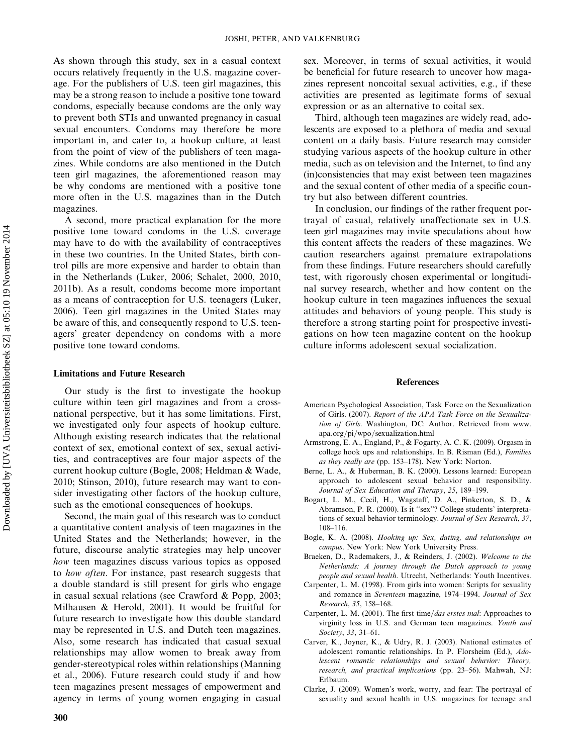As shown through this study, sex in a casual context occurs relatively frequently in the U.S. magazine coverage. For the publishers of U.S. teen girl magazines, this may be a strong reason to include a positive tone toward condoms, especially because condoms are the only way to prevent both STIs and unwanted pregnancy in casual sexual encounters. Condoms may therefore be more important in, and cater to, a hookup culture, at least from the point of view of the publishers of teen magazines. While condoms are also mentioned in the Dutch teen girl magazines, the aforementioned reason may be why condoms are mentioned with a positive tone more often in the U.S. magazines than in the Dutch magazines.

A second, more practical explanation for the more positive tone toward condoms in the U.S. coverage may have to do with the availability of contraceptives in these two countries. In the United States, birth control pills are more expensive and harder to obtain than in the Netherlands (Luker, 2006; Schalet, 2000, 2010, 2011b). As a result, condoms become more important as a means of contraception for U.S. teenagers (Luker, 2006). Teen girl magazines in the United States may be aware of this, and consequently respond to U.S. teenagers' greater dependency on condoms with a more positive tone toward condoms.

#### Limitations and Future Research

Our study is the first to investigate the hookup culture within teen girl magazines and from a crossnational perspective, but it has some limitations. First, we investigated only four aspects of hookup culture. Although existing research indicates that the relational context of sex, emotional context of sex, sexual activities, and contraceptives are four major aspects of the current hookup culture (Bogle, 2008; Heldman & Wade, 2010; Stinson, 2010), future research may want to consider investigating other factors of the hookup culture, such as the emotional consequences of hookups.

Second, the main goal of this research was to conduct a quantitative content analysis of teen magazines in the United States and the Netherlands; however, in the future, discourse analytic strategies may help uncover how teen magazines discuss various topics as opposed to how often. For instance, past research suggests that a double standard is still present for girls who engage in casual sexual relations (see Crawford & Popp, 2003; Milhausen & Herold, 2001). It would be fruitful for future research to investigate how this double standard may be represented in U.S. and Dutch teen magazines. Also, some research has indicated that casual sexual relationships may allow women to break away from gender-stereotypical roles within relationships (Manning et al., 2006). Future research could study if and how teen magazines present messages of empowerment and agency in terms of young women engaging in casual sex. Moreover, in terms of sexual activities, it would be beneficial for future research to uncover how magazines represent noncoital sexual activities, e.g., if these activities are presented as legitimate forms of sexual expression or as an alternative to coital sex.

Third, although teen magazines are widely read, adolescents are exposed to a plethora of media and sexual content on a daily basis. Future research may consider studying various aspects of the hookup culture in other media, such as on television and the Internet, to find any (in)consistencies that may exist between teen magazines and the sexual content of other media of a specific country but also between different countries.

In conclusion, our findings of the rather frequent portrayal of casual, relatively unaffectionate sex in U.S. teen girl magazines may invite speculations about how this content affects the readers of these magazines. We caution researchers against premature extrapolations from these findings. Future researchers should carefully test, with rigorously chosen experimental or longitudinal survey research, whether and how content on the hookup culture in teen magazines influences the sexual attitudes and behaviors of young people. This study is therefore a strong starting point for prospective investigations on how teen magazine content on the hookup culture informs adolescent sexual socialization.

#### **References**

- American Psychological Association, Task Force on the Sexualization of Girls. (2007). Report of the APA Task Force on the Sexualization of Girls. Washington, DC: Author. Retrieved from www. apa.org/pi/wpo/sexualization.html
- Armstrong, E. A., England, P., & Fogarty, A. C. K. (2009). Orgasm in college hook ups and relationships. In B. Risman (Ed.), Families as they really are (pp. 153–178). New York: Norton.
- Berne, L. A., & Huberman, B. K. (2000). Lessons learned: European approach to adolescent sexual behavior and responsibility. Journal of Sex Education and Therapy, 25, 189–199.
- Bogart, L. M., Cecil, H., Wagstaff, D. A., Pinkerton, S. D., & Abramson, P. R. (2000). Is it ''sex''? College students' interpretations of sexual behavior terminology. Journal of Sex Research, 37, 108–116.
- Bogle, K. A. (2008). Hooking up: Sex, dating, and relationships on campus. New York: New York University Press.
- Braeken, D., Rademakers, J., & Reinders, J. (2002). Welcome to the Netherlands: A journey through the Dutch approach to young people and sexual health. Utrecht, Netherlands: Youth Incentives.
- Carpenter, L. M. (1998). From girls into women: Scripts for sexuality and romance in Seventeen magazine, 1974–1994. Journal of Sex Research, 35, 158–168.
- Carpenter, L. M. (2001). The first time/das erstes mal: Approaches to virginity loss in U.S. and German teen magazines. Youth and Society, 33, 31–61.
- Carver, K., Joyner, K., & Udry, R. J. (2003). National estimates of adolescent romantic relationships. In P. Florsheim (Ed.), Adolescent romantic relationships and sexual behavior: Theory, research, and practical implications (pp. 23–56). Mahwah, NJ: Erlbaum.
- Clarke, J. (2009). Women's work, worry, and fear: The portrayal of sexuality and sexual health in U.S. magazines for teenage and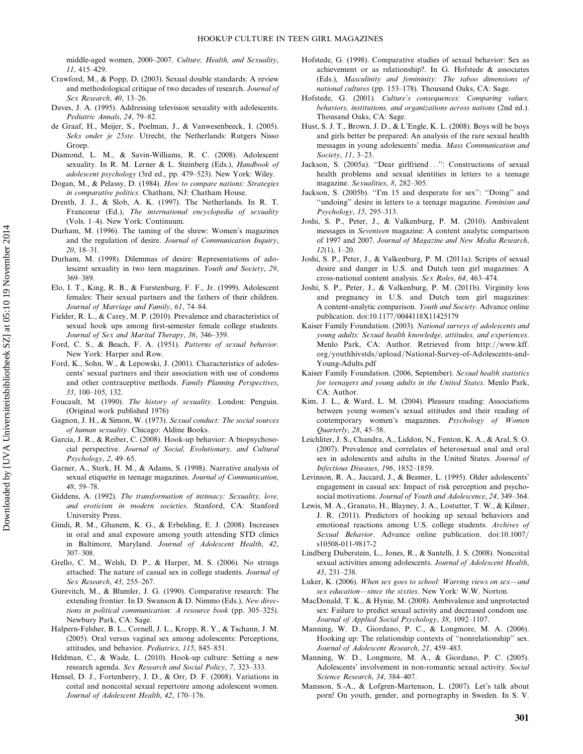middle-aged women, 2000–2007. Culture, Health, and Sexuality, 11, 415–429.

- Crawford, M., & Popp, D. (2003). Sexual double standards: A review and methodological critique of two decades of research. Journal of Sex Research, 40, 13–26.
- Daves, J. A. (1995). Addressing television sexuality with adolescents. Pediatric Annals, 24, 79–82.
- de Graaf, H., Meijer, S., Poelman, J., & Vanwesenbeeck, I. (2005). Seks onder je 25ste. Utrecht, the Netherlands: Rutgers Nisso Groep.
- Diamond, L. M., & Savin-Williams, R. C. (2008). Adolescent sexuality. In R. M. Lerner & L. Steinberg (Eds.), Handbook of adolescent psychology (3rd ed., pp. 479–523). New York: Wiley.
- Dogan, M., & Pelassy, D. (1984). How to compare nations: Strategies in comparative politics. Chatham, NJ: Chatham House.
- Drenth, J. J., & Slob, A. K. (1997). The Netherlands. In R. T. Francoeur (Ed.), The international encyclopedia of sexuality (Vols. 1–4). New York: Continuum.
- Durham, M. (1996). The taming of the shrew: Women's magazines and the regulation of desire. Journal of Communication Inquiry, 20, 18–31.
- Durham, M. (1998). Dilemmas of desire: Representations of adolescent sexuality in two teen magazines. Youth and Society, 29, 369–389.
- Elo, I. T., King, R. B., & Furstenburg, F. F., Jr. (1999). Adolescent females: Their sexual partners and the fathers of their children. Journal of Marriage and Family, 61, 74–84.
- Fielder, R. L., & Carey, M. P. (2010). Prevalence and characteristics of sexual hook ups among first-semester female college students. Journal of Sex and Marital Therapy, 36, 346–359.
- Ford, C. S., & Beach, F. A. (1951). Patterns of sexual behavior. New York: Harper and Row.
- Ford, K., Sohn, W., & Lepowski, J. (2001). Characteristics of adolescents' sexual partners and their association with use of condoms and other contraceptive methods. Family Planning Perspectives, 33, 100–105, 132.
- Foucault, M. (1990). The history of sexuality. London: Penguin. (Original work published 1976)
- Gagnon, J. H., & Simon, W. (1973). Sexual conduct: The social sources of human sexuality. Chicago: Aldine Books.
- Garcia, J. R., & Reiber, C. (2008). Hook-up behavior: A biopsychosocial perspective. Journal of Social, Evolutionary, and Cultural Psychology, 2, 49–65.
- Garner, A., Sterk, H. M., & Adams, S. (1998). Narrative analysis of sexual etiquette in teenage magazines. Journal of Communication, 48, 59–78.
- Giddens, A. (1992). The transformation of intimacy: Sexuality, love, and eroticism in modern societies. Stanford, CA: Stanford University Press.
- Gindi, R. M., Ghanem, K. G., & Erbelding, E. J. (2008). Increases in oral and anal exposure among youth attending STD clinics in Baltimore, Maryland. Journal of Adolescent Health, 42, 307–308.
- Grello, C. M., Welsh, D. P., & Harper, M. S. (2006). No strings attached: The nature of casual sex in college students. Journal of Sex Research, 43, 255–267.
- Gurevitch, M., & Blumler, J. G. (1990). Comparative research: The extending frontier. In D. Swanson & D. Nimmo (Eds.), New directions in political communication: A resource book (pp. 305–325). Newbury Park, CA: Sage.
- Halpern-Felsher, B. L., Cornell, J. L., Kropp, R. Y., & Tschann, J. M. (2005). Oral versus vaginal sex among adolescents: Perceptions, attitudes, and behavior. Pediatrics, 115, 845–851.
- Heldman, C., & Wade, L. (2010). Hook-up culture: Setting a new research agenda. Sex Research and Social Policy, 7, 323–333.
- Hensel, D. J., Fortenberry, J. D., & Orr, D. F. (2008). Variations in coital and noncoital sexual repertoire among adolescent women. Journal of Adolescent Health, 42, 170–176.
- Hofstede, G. (1998). Comparative studies of sexual behavior: Sex as achievement or as relationship?. In G. Hofstede & associates (Eds.), Masculinity and femininity: The taboo dimensions of national cultures (pp. 153–178). Thousand Oaks, CA: Sage.
- Hofstede, G. (2001). Culture's consequences: Comparing values, behaviors, institutions, and organizations across nations (2nd ed.). Thousand Oaks, CA: Sage.
- Hust, S. J. T., Brown, J. D., & L'Engle, K. L. (2008). Boys will be boys and girls better be prepared: An analysis of the rare sexual health messages in young adolescents' media. Mass Communication and Society, 11, 3–23.
- Jackson, S. (2005a). ''Dear girlfriend ...'': Constructions of sexual health problems and sexual identities in letters to a teenage magazine. Sexualities, 8, 282–305.
- Jackson, S. (2005b). "I'm 15 and desperate for sex": "Doing" and "undoing" desire in letters to a teenage magazine. Feminism and Psychology, 15, 295–313.
- Joshi, S. P., Peter, J., & Valkenburg, P. M. (2010). Ambivalent messages in Seventeen magazine: A content analytic comparison of 1997 and 2007. Journal of Magazine and New Media Research, 12(1), 1–20.
- Joshi, S. P., Peter, J., & Valkenburg, P. M. (2011a). Scripts of sexual desire and danger in U.S. and Dutch teen girl magazines: A cross-national content analysis. Sex Roles, 64, 463–474.
- Joshi, S. P., Peter, J., & Valkenburg, P. M. (2011b). Virginity loss and pregnancy in U.S. and Dutch teen girl magazines: A content-analytic comparison. Youth and Society. Advance online publication. doi:10.1177/0044118X11425179
- Kaiser Family Foundation. (2003). National surveys of adolescents and young adults: Sexual health knowledge, attitudes, and experiences. Menlo Park, CA: Author. Retrieved from http://www.kff. org/youthhivstds/upload/National-Survey-of-Adolescents-and-Young-Adults.pdf
- Kaiser Family Foundation. (2006, September). Sexual health statistics for teenagers and young adults in the United States. Menlo Park, CA: Author.
- Kim, J. L., & Ward, L. M. (2004). Pleasure reading: Associations between young women's sexual attitudes and their reading of contemporary women's magazines. Psychology of Women Quarterly, 28, 45–58.
- Leichliter, J. S., Chandra, A., Liddon, N., Fenton, K. A., & Aral, S. O. (2007). Prevalence and correlates of heterosexual anal and oral sex in adolescents and adults in the United States. Journal of Infectious Diseases, 196, 1852–1859.
- Levinson, R. A., Jaccard, J., & Beamer, L. (1995). Older adolescents' engagement in casual sex: Impact of risk perception and psychosocial motivations. Journal of Youth and Adolescence, 24, 349–364.
- Lewis, M. A., Granato, H., Blayney, J. A., Lostutter, T. W., & Kilmer, J. R. (2011). Predictors of hooking up sexual behaviors and emotional reactions among U.S. college students. Archives of Sexual Behavior. Advance online publication. doi:10.1007/ s10508-011-9817-2
- Lindberg Duberstein, L., Jones, R., & Santelli, J. S. (2008). Noncoital sexual activities among adolescents. Journal of Adolescent Health, 43, 231–238.
- Luker, K. (2006). When sex goes to school: Warring views on sex—and sex education—since the sixties. New York: W.W. Norton.
- MacDonald, T. K., & Hynie, M. (2008). Ambivalence and unprotected sex: Failure to predict sexual activity and decreased condom use. Journal of Applied Social Psychology, 38, 1092–1107.
- Manning, W. D., Giordano, P. C., & Longmore, M. A. (2006). Hooking up: The relationship contexts of ''nonrelationship'' sex. Journal of Adolescent Research, 21, 459–483.
- Manning, W. D., Longmore, M. A., & Giordano, P. C. (2005). Adolescents' involvement in non-romantic sexual activity. Social Science Research, 34, 384–407.
- Mansson, S.-A., & Lofgren-Martenson, L. (2007). Let's talk about porn! On youth, gender, and pornography in Sweden. In S. V.